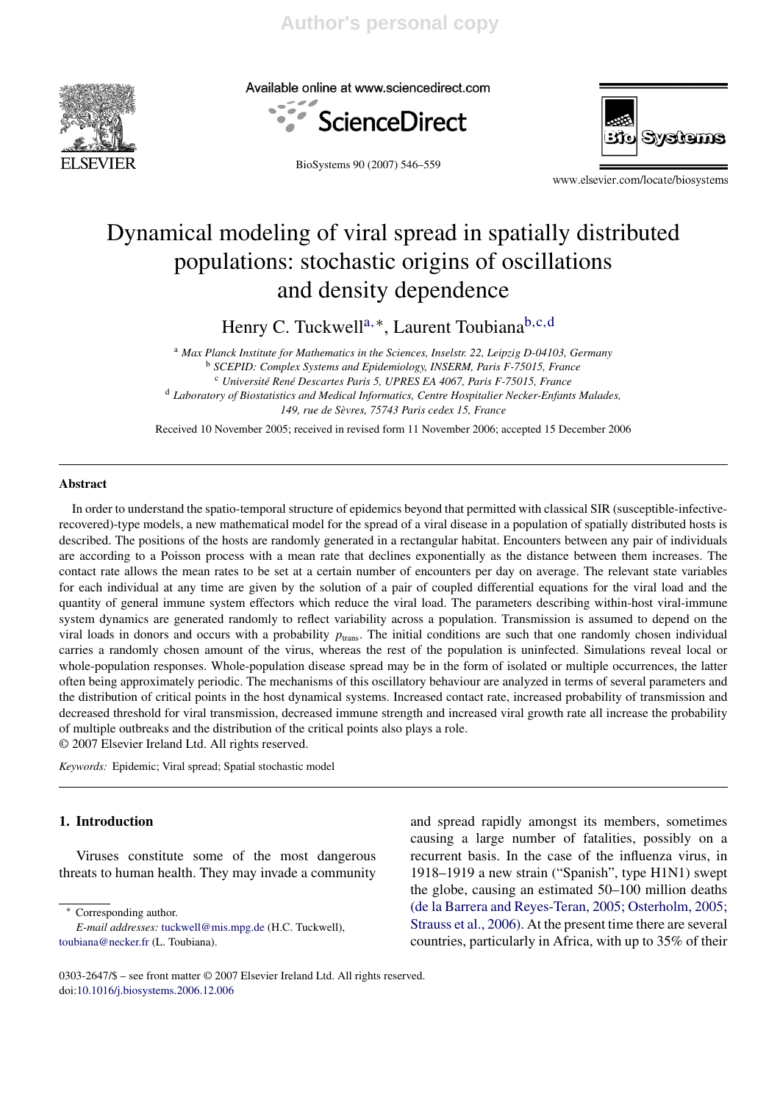

Available online at www.sciencedirect.com





BioSystems 90 (2007) 546–559

www.elsevier.com/locate/biosystems

# Dynamical modeling of viral spread in spatially distributed populations: stochastic origins of oscillations and density dependence

Henry C. Tuckwell<sup>a,∗</sup>, Laurent Toubiana<sup>b,c,d</sup>

<sup>a</sup> *Max Planck Institute for Mathematics in the Sciences, Inselstr. 22, Leipzig D-04103, Germany* <sup>b</sup> *SCEPID: Complex Systems and Epidemiology, INSERM, Paris F-75015, France* <sup>c</sup> *Universit´e Ren´e Descartes Paris 5, UPRES EA 4067, Paris F-75015, France* <sup>d</sup> *Laboratory of Biostatistics and Medical Informatics, Centre Hospitalier Necker-Enfants Malades, 149, rue de S`evres, 75743 Paris cedex 15, France*

Received 10 November 2005; received in revised form 11 November 2006; accepted 15 December 2006

## **Abstract**

In order to understand the spatio-temporal structure of epidemics beyond that permitted with classical SIR (susceptible-infectiverecovered)-type models, a new mathematical model for the spread of a viral disease in a population of spatially distributed hosts is described. The positions of the hosts are randomly generated in a rectangular habitat. Encounters between any pair of individuals are according to a Poisson process with a mean rate that declines exponentially as the distance between them increases. The contact rate allows the mean rates to be set at a certain number of encounters per day on average. The relevant state variables for each individual at any time are given by the solution of a pair of coupled differential equations for the viral load and the quantity of general immune system effectors which reduce the viral load. The parameters describing within-host viral-immune system dynamics are generated randomly to reflect variability across a population. Transmission is assumed to depend on the viral loads in donors and occurs with a probability  $p_{\text{trans}}$ . The initial conditions are such that one randomly chosen individual carries a randomly chosen amount of the virus, whereas the rest of the population is uninfected. Simulations reveal local or whole-population responses. Whole-population disease spread may be in the form of isolated or multiple occurrences, the latter often being approximately periodic. The mechanisms of this oscillatory behaviour are analyzed in terms of several parameters and the distribution of critical points in the host dynamical systems. Increased contact rate, increased probability of transmission and decreased threshold for viral transmission, decreased immune strength and increased viral growth rate all increase the probability of multiple outbreaks and the distribution of the critical points also plays a role.

© 2007 Elsevier Ireland Ltd. All rights reserved.

*Keywords:* Epidemic; Viral spread; Spatial stochastic model

# **1. Introduction**

Viruses constitute some of the most dangerous threats to human health. They may invade a community and spread rapidly amongst its members, sometimes causing a large number of fatalities, possibly on a recurrent basis. In the case of the influenza virus, in 1918–1919 a new strain ("Spanish", type H1N1) swept the globe, causing an estimated 50–100 million deaths (de la Barrera and Reyes-Teran, 2005; Osterholm, 2005; Strauss et al., 2006). At the present time there are several countries, particularly in Africa, with up to 35% of their

<sup>∗</sup> Corresponding author.

*E-mail addresses:* tuckwell@mis.mpg.de (H.C. Tuckwell), toubiana@necker.fr (L. Toubiana).

<sup>0303-2647/\$ –</sup> see front matter © 2007 Elsevier Ireland Ltd. All rights reserved. doi:10.1016/j.biosystems.2006.12.006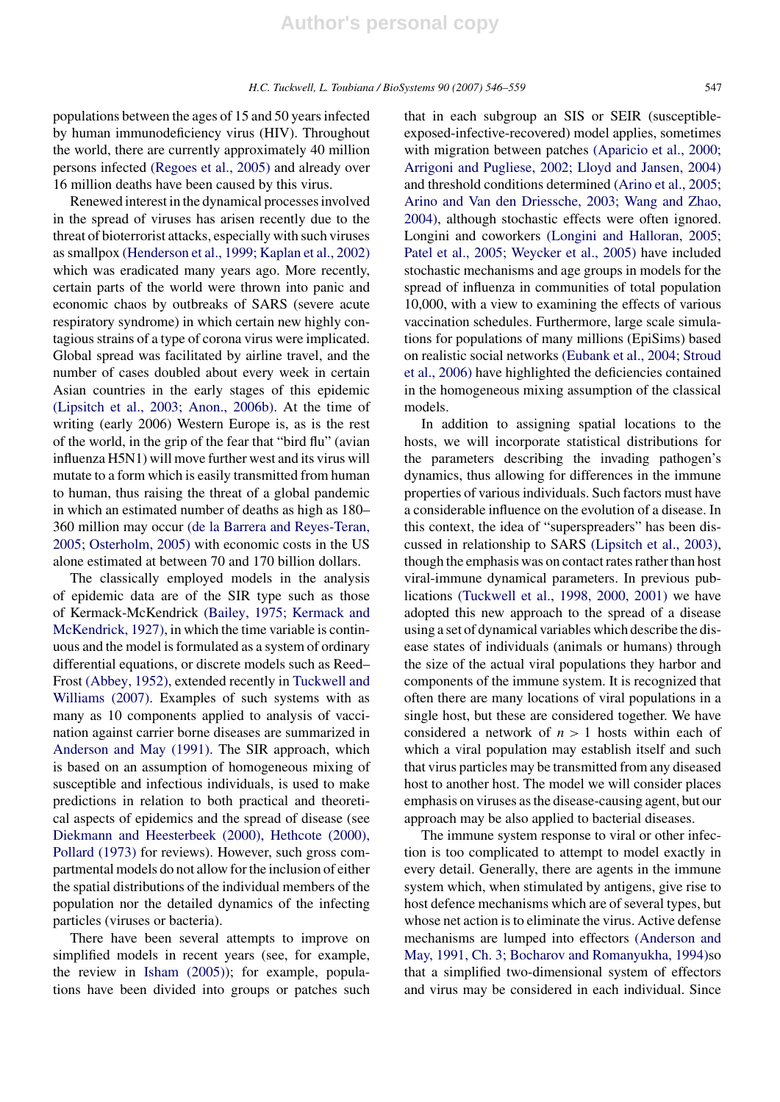populations between the ages of 15 and 50 years infected by human immunodeficiency virus (HIV). Throughout the world, there are currently approximately 40 million persons infected (Regoes et al., 2005) and already over 16 million deaths have been caused by this virus.

Renewed interest in the dynamical processes involved in the spread of viruses has arisen recently due to the threat of bioterrorist attacks, especially with such viruses as smallpox (Henderson et al., 1999; Kaplan et al., 2002) which was eradicated many years ago. More recently, certain parts of the world were thrown into panic and economic chaos by outbreaks of SARS (severe acute respiratory syndrome) in which certain new highly contagious strains of a type of corona virus were implicated. Global spread was facilitated by airline travel, and the number of cases doubled about every week in certain Asian countries in the early stages of this epidemic (Lipsitch et al., 2003; Anon., 2006b). At the time of writing (early 2006) Western Europe is, as is the rest of the world, in the grip of the fear that "bird flu" (avian influenza H5N1) will move further west and its virus will mutate to a form which is easily transmitted from human to human, thus raising the threat of a global pandemic in which an estimated number of deaths as high as 180– 360 million may occur (de la Barrera and Reyes-Teran, 2005; Osterholm, 2005) with economic costs in the US alone estimated at between 70 and 170 billion dollars.

The classically employed models in the analysis of epidemic data are of the SIR type such as those of Kermack-McKendrick (Bailey, 1975; Kermack and McKendrick, 1927), in which the time variable is continuous and the model is formulated as a system of ordinary differential equations, or discrete models such as Reed– Frost (Abbey, 1952), extended recently in Tuckwell and Williams (2007). Examples of such systems with as many as 10 components applied to analysis of vaccination against carrier borne diseases are summarized in Anderson and May (1991). The SIR approach, which is based on an assumption of homogeneous mixing of susceptible and infectious individuals, is used to make predictions in relation to both practical and theoretical aspects of epidemics and the spread of disease (see Diekmann and Heesterbeek (2000), Hethcote (2000), Pollard (1973) for reviews). However, such gross compartmental models do not allow for the inclusion of either the spatial distributions of the individual members of the population nor the detailed dynamics of the infecting particles (viruses or bacteria).

There have been several attempts to improve on simplified models in recent years (see, for example, the review in Isham (2005)); for example, populations have been divided into groups or patches such that in each subgroup an SIS or SEIR (susceptibleexposed-infective-recovered) model applies, sometimes with migration between patches (Aparicio et al., 2000; Arrigoni and Pugliese, 2002; Lloyd and Jansen, 2004) and threshold conditions determined (Arino et al., 2005; Arino and Van den Driessche, 2003; Wang and Zhao, 2004), although stochastic effects were often ignored. Longini and coworkers (Longini and Halloran, 2005; Patel et al., 2005; Weycker et al., 2005) have included stochastic mechanisms and age groups in models for the spread of influenza in communities of total population 10,000, with a view to examining the effects of various vaccination schedules. Furthermore, large scale simulations for populations of many millions (EpiSims) based on realistic social networks (Eubank et al., 2004; Stroud et al., 2006) have highlighted the deficiencies contained in the homogeneous mixing assumption of the classical models.

In addition to assigning spatial locations to the hosts, we will incorporate statistical distributions for the parameters describing the invading pathogen's dynamics, thus allowing for differences in the immune properties of various individuals. Such factors must have a considerable influence on the evolution of a disease. In this context, the idea of "superspreaders" has been discussed in relationship to SARS (Lipsitch et al., 2003), though the emphasis was on contact rates rather than host viral-immune dynamical parameters. In previous publications (Tuckwell et al., 1998, 2000, 2001) we have adopted this new approach to the spread of a disease using a set of dynamical variables which describe the disease states of individuals (animals or humans) through the size of the actual viral populations they harbor and components of the immune system. It is recognized that often there are many locations of viral populations in a single host, but these are considered together. We have considered a network of  $n > 1$  hosts within each of which a viral population may establish itself and such that virus particles may be transmitted from any diseased host to another host. The model we will consider places emphasis on viruses as the disease-causing agent, but our approach may be also applied to bacterial diseases.

The immune system response to viral or other infection is too complicated to attempt to model exactly in every detail. Generally, there are agents in the immune system which, when stimulated by antigens, give rise to host defence mechanisms which are of several types, but whose net action is to eliminate the virus. Active defense mechanisms are lumped into effectors (Anderson and May, 1991, Ch. 3; Bocharov and Romanyukha, 1994)so that a simplified two-dimensional system of effectors and virus may be considered in each individual. Since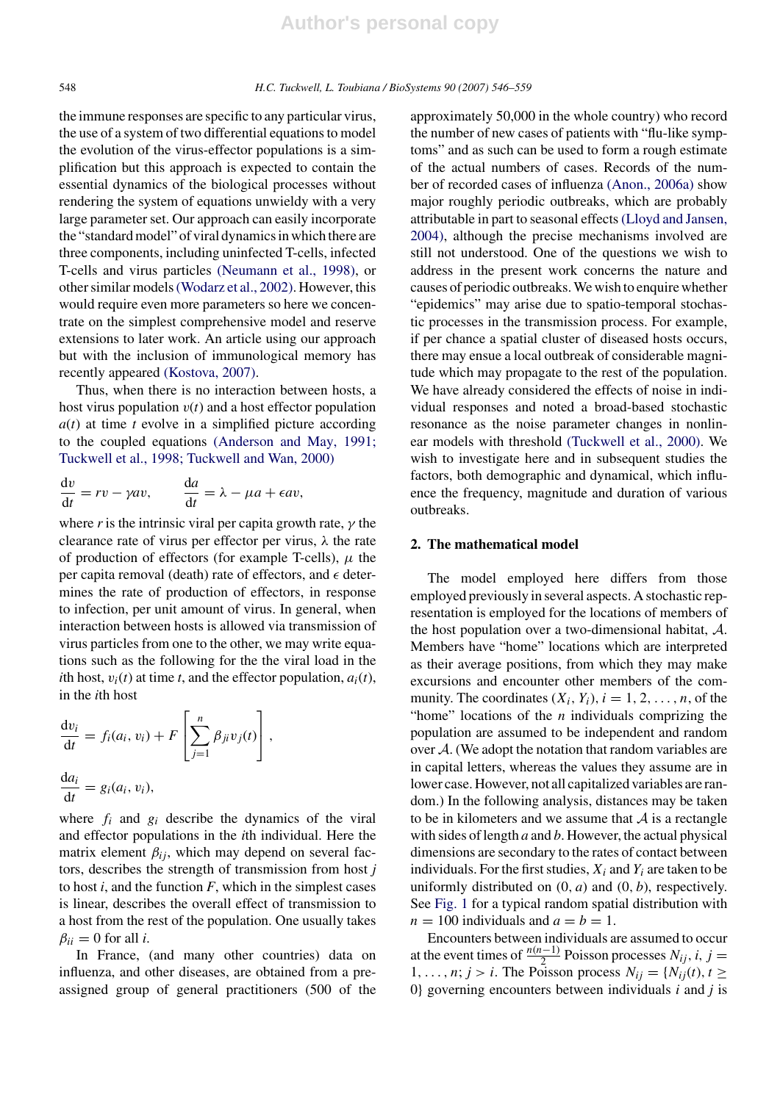the immune responses are specific to any particular virus, the use of a system of two differential equations to model the evolution of the virus-effector populations is a simplification but this approach is expected to contain the essential dynamics of the biological processes without rendering the system of equations unwieldy with a very large parameter set. Our approach can easily incorporate the "standard model" of viral dynamics in which there are three components, including uninfected T-cells, infected T-cells and virus particles (Neumann et al., 1998), or other similar models(Wodarz et al., 2002). However, this would require even more parameters so here we concentrate on the simplest comprehensive model and reserve extensions to later work. An article using our approach but with the inclusion of immunological memory has recently appeared (Kostova, 2007).

Thus, when there is no interaction between hosts, a host virus population  $v(t)$  and a host effector population  $a(t)$  at time *t* evolve in a simplified picture according to the coupled equations (Anderson and May, 1991; Tuckwell et al., 1998; Tuckwell and Wan, 2000)

$$
\frac{dv}{dt} = rv - \gamma av, \qquad \frac{da}{dt} = \lambda - \mu a + \epsilon av,
$$

where *r* is the intrinsic viral per capita growth rate,  $\gamma$  the clearance rate of virus per effector per virus,  $\lambda$  the rate of production of effectors (for example T-cells),  $\mu$  the per capita removal (death) rate of effectors, and  $\epsilon$  determines the rate of production of effectors, in response to infection, per unit amount of virus. In general, when interaction between hosts is allowed via transmission of virus particles from one to the other, we may write equations such as the following for the the viral load in the *i*th host,  $v_i(t)$  at time *t*, and the effector population,  $a_i(t)$ , in the *i*th host

$$
\frac{dv_i}{dt} = f_i(a_i, v_i) + F\left[\sum_{j=1}^n \beta_{ji} v_j(t)\right],
$$
  

$$
\frac{da_i}{dt} = g_i(a_i, v_i),
$$

where  $f_i$  and  $g_i$  describe the dynamics of the viral and effector populations in the *i*th individual. Here the matrix element  $\beta_{ij}$ , which may depend on several factors, describes the strength of transmission from host *j* to host  $i$ , and the function  $F$ , which in the simplest cases is linear, describes the overall effect of transmission to a host from the rest of the population. One usually takes  $\beta_{ii} = 0$  for all *i*.

In France, (and many other countries) data on influenza, and other diseases, are obtained from a preassigned group of general practitioners (500 of the

approximately 50,000 in the whole country) who record the number of new cases of patients with "flu-like symptoms" and as such can be used to form a rough estimate of the actual numbers of cases. Records of the number of recorded cases of influenza (Anon., 2006a) show major roughly periodic outbreaks, which are probably attributable in part to seasonal effects(Lloyd and Jansen, 2004), although the precise mechanisms involved are still not understood. One of the questions we wish to address in the present work concerns the nature and causes of periodic outbreaks. We wish to enquire whether "epidemics" may arise due to spatio-temporal stochastic processes in the transmission process. For example, if per chance a spatial cluster of diseased hosts occurs, there may ensue a local outbreak of considerable magnitude which may propagate to the rest of the population. We have already considered the effects of noise in individual responses and noted a broad-based stochastic resonance as the noise parameter changes in nonlinear models with threshold (Tuckwell et al., 2000). We wish to investigate here and in subsequent studies the factors, both demographic and dynamical, which influence the frequency, magnitude and duration of various outbreaks.

## **2. The mathematical model**

The model employed here differs from those employed previously in several aspects. A stochastic representation is employed for the locations of members of the host population over a two-dimensional habitat, A. Members have "home" locations which are interpreted as their average positions, from which they may make excursions and encounter other members of the community. The coordinates  $(X_i, Y_i)$ ,  $i = 1, 2, \ldots, n$ , of the "home" locations of the *n* individuals comprizing the population are assumed to be independent and random over  $A$ . (We adopt the notation that random variables are in capital letters, whereas the values they assume are in lower case. However, not all capitalized variables are random.) In the following analysis, distances may be taken to be in kilometers and we assume that  $A$  is a rectangle with sides of length *a* and *b*. However, the actual physical dimensions are secondary to the rates of contact between individuals. For the first studies,  $X_i$  and  $Y_i$  are taken to be uniformly distributed on  $(0, a)$  and  $(0, b)$ , respectively. See Fig. 1 for a typical random spatial distribution with  $n = 100$  individuals and  $a = b = 1$ .

Encounters between individuals are assumed to occur at the event times of  $\frac{n(n-1)}{2}$  Poisson processes  $N_{ij}$ , i, j = 1,..., *n*; *j* > *i*. The Poisson process  $N_{ij} = \{N_{ij}(t), t \geq 1\}$ 0} governing encounters between individuals *i* and *j* is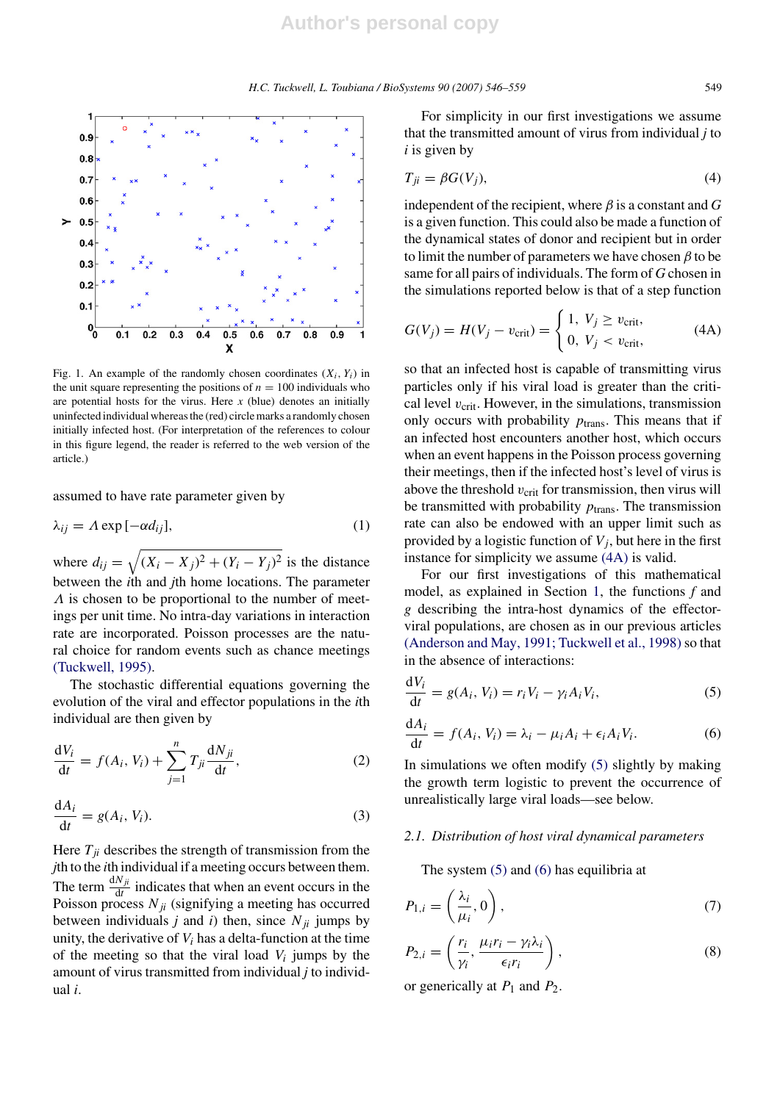

Fig. 1. An example of the randomly chosen coordinates  $(X_i, Y_i)$  in the unit square representing the positions of  $n = 100$  individuals who are potential hosts for the virus. Here *x* (blue) denotes an initially uninfected individual whereas the (red) circle marks a randomly chosen initially infected host. (For interpretation of the references to colour in this figure legend, the reader is referred to the web version of the article.)

assumed to have rate parameter given by

$$
\lambda_{ij} = \Lambda \exp[-\alpha d_{ij}],\tag{1}
$$

where  $d_{ij} = \sqrt{(X_i - X_j)^2 + (Y_i - Y_j)^2}$  is the distance between the *i*th and *j*th home locations. The parameter  $\Lambda$  is chosen to be proportional to the number of meetings per unit time. No intra-day variations in interaction rate are incorporated. Poisson processes are the natural choice for random events such as chance meetings (Tuckwell, 1995).

The stochastic differential equations governing the evolution of the viral and effector populations in the *i*th individual are then given by

$$
\frac{\mathrm{d}V_i}{\mathrm{d}t} = f(A_i, V_i) + \sum_{j=1}^n T_{ji} \frac{\mathrm{d}N_{ji}}{\mathrm{d}t},\tag{2}
$$

$$
\frac{\mathrm{d}A_i}{\mathrm{d}t} = g(A_i, V_i). \tag{3}
$$

Here  $T_{ii}$  describes the strength of transmission from the *j*th to the *i*th individual if a meeting occurs between them. The term  $\frac{dN_{ji}}{dt}$  indicates that when an event occurs in the Poisson process  $N_{ji}$  (signifying a meeting has occurred between individuals *j* and *i*) then, since  $N_{ii}$  jumps by unity, the derivative of  $V_i$  has a delta-function at the time of the meeting so that the viral load  $V_i$  jumps by the amount of virus transmitted from individual *j* to individual *i*.

For simplicity in our first investigations we assume that the transmitted amount of virus from individual *j* to *i* is given by

$$
T_{ji} = \beta G(V_j),\tag{4}
$$

independent of the recipient, where  $\beta$  is a constant and *G* is a given function. This could also be made a function of the dynamical states of donor and recipient but in order to limit the number of parameters we have chosen  $\beta$  to be same for all pairs of individuals. The form of *G* chosen in the simulations reported below is that of a step function

$$
G(V_j) = H(V_j - v_{\text{crit}}) = \begin{cases} 1, V_j \ge v_{\text{crit}}, \\ 0, V_j < v_{\text{crit}}, \end{cases} \tag{4A}
$$

so that an infected host is capable of transmitting virus particles only if his viral load is greater than the critical level  $v_{\text{crit}}$ . However, in the simulations, transmission only occurs with probability  $p_{trans}$ . This means that if an infected host encounters another host, which occurs when an event happens in the Poisson process governing their meetings, then if the infected host's level of virus is above the threshold  $v_{\text{crit}}$  for transmission, then virus will be transmitted with probability  $p_{trans}$ . The transmission rate can also be endowed with an upper limit such as provided by a logistic function of  $V_i$ , but here in the first instance for simplicity we assume (4A) is valid.

For our first investigations of this mathematical model, as explained in Section 1, the functions *f* and *g* describing the intra-host dynamics of the effectorviral populations, are chosen as in our previous articles (Anderson and May, 1991; Tuckwell et al., 1998) so that in the absence of interactions:

$$
\frac{\mathrm{d}V_i}{\mathrm{d}t} = g(A_i, V_i) = r_i V_i - \gamma_i A_i V_i, \tag{5}
$$

$$
\frac{dA_i}{dt} = f(A_i, V_i) = \lambda_i - \mu_i A_i + \epsilon_i A_i V_i.
$$
 (6)

In simulations we often modify (5) slightly by making the growth term logistic to prevent the occurrence of unrealistically large viral loads—see below.

#### *2.1. Distribution of host viral dynamical parameters*

The system (5) and (6) has equilibria at

$$
P_{1,i} = \left(\frac{\lambda_i}{\mu_i}, 0\right),\tag{7}
$$

$$
P_{2,i} = \left(\frac{r_i}{\gamma_i}, \frac{\mu_i r_i - \gamma_i \lambda_i}{\epsilon_i r_i}\right),\tag{8}
$$

or generically at  $P_1$  and  $P_2$ .

dVi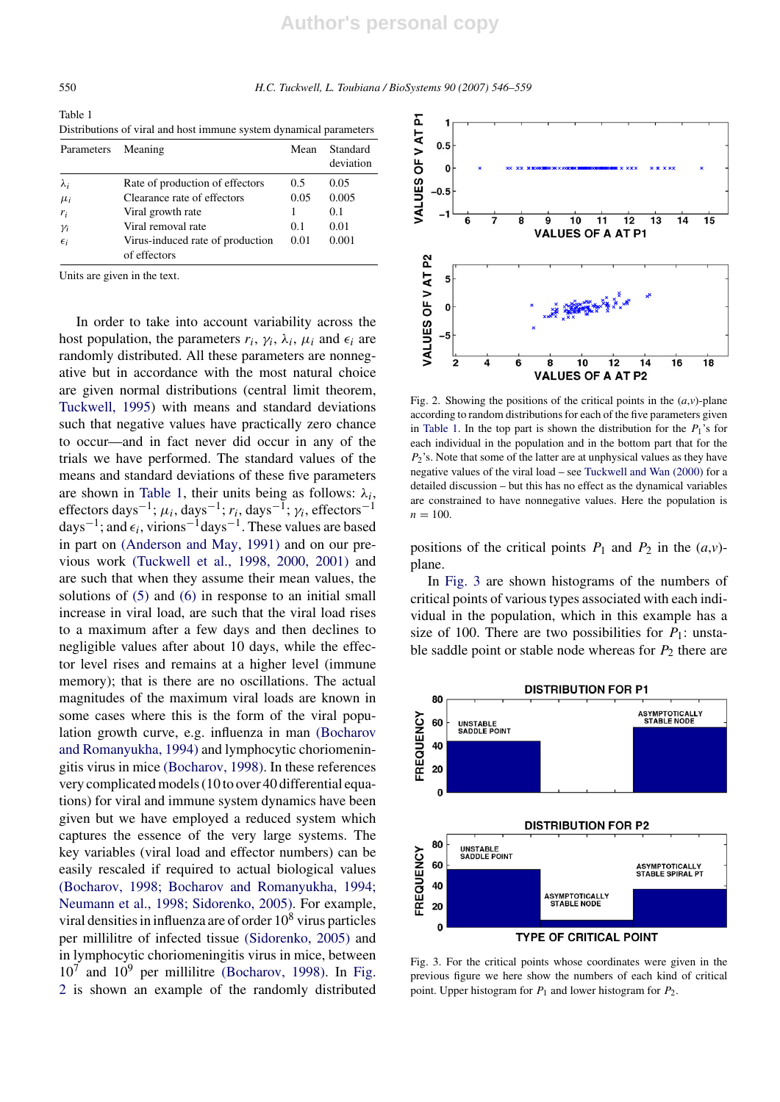Table 1 Distributions of viral and host immune system dynamical parameters

| Parameters   | Meaning                                          | Mean | Standard<br>deviation |
|--------------|--------------------------------------------------|------|-----------------------|
| $\lambda_i$  | Rate of production of effectors                  | 0.5  | 0.05                  |
| $\mu_i$      | Clearance rate of effectors                      | 0.05 | 0.005                 |
| $r_i$        | Viral growth rate                                |      | 0.1                   |
| $\gamma_i$   | Viral removal rate                               | 0.1  | 0.01                  |
| $\epsilon_i$ | Virus-induced rate of production<br>of effectors | 0.01 | 0.001                 |
|              |                                                  |      |                       |

Units are given in the text.

In order to take into account variability across the host population, the parameters  $r_i$ ,  $\gamma_i$ ,  $\lambda_i$ ,  $\mu_i$  and  $\epsilon_i$  are randomly distributed. All these parameters are nonnegative but in accordance with the most natural choice are given normal distributions (central limit theorem, Tuckwell, 1995) with means and standard deviations such that negative values have practically zero chance to occur—and in fact never did occur in any of the trials we have performed. The standard values of the means and standard deviations of these five parameters are shown in Table 1, their units being as follows:  $\lambda_i$ , effectors days<sup>-1</sup>;  $\mu_i$ , days<sup>-1</sup>;  $r_i$ , days<sup>-1</sup>;  $\gamma_i$ , effectors<sup>-1</sup> days<sup>-1</sup>; and  $\epsilon_i$ , virions<sup>-1</sup>days<sup>-1</sup>. These values are based in part on (Anderson and May, 1991) and on our previous work (Tuckwell et al., 1998, 2000, 2001) and are such that when they assume their mean values, the solutions of (5) and (6) in response to an initial small increase in viral load, are such that the viral load rises to a maximum after a few days and then declines to negligible values after about 10 days, while the effector level rises and remains at a higher level (immune memory); that is there are no oscillations. The actual magnitudes of the maximum viral loads are known in some cases where this is the form of the viral population growth curve, e.g. influenza in man (Bocharov and Romanyukha, 1994) and lymphocytic choriomeningitis virus in mice (Bocharov, 1998). In these references very complicated models (10 to over 40 differential equations) for viral and immune system dynamics have been given but we have employed a reduced system which captures the essence of the very large systems. The key variables (viral load and effector numbers) can be easily rescaled if required to actual biological values (Bocharov, 1998; Bocharov and Romanyukha, 1994; Neumann et al., 1998; Sidorenko, 2005). For example, viral densities in influenza are of order  $10<sup>8</sup>$  virus particles per millilitre of infected tissue (Sidorenko, 2005) and in lymphocytic choriomeningitis virus in mice, between  $10^{7}$  and  $10^{9}$  per millilitre (Bocharov, 1998). In Fig. 2 is shown an example of the randomly distributed



Fig. 2. Showing the positions of the critical points in the  $(a, v)$ -plane according to random distributions for each of the five parameters given in Table 1. In the top part is shown the distribution for the  $P_1$ 's for each individual in the population and in the bottom part that for the  $P_2$ 's. Note that some of the latter are at unphysical values as they have negative values of the viral load – see Tuckwell and Wan (2000) for a detailed discussion – but this has no effect as the dynamical variables are constrained to have nonnegative values. Here the population is  $n = 100$ 

positions of the critical points  $P_1$  and  $P_2$  in the  $(a,y)$ plane.

In Fig. 3 are shown histograms of the numbers of critical points of various types associated with each individual in the population, which in this example has a size of 100. There are two possibilities for  $P_1$ : unstable saddle point or stable node whereas for  $P_2$  there are



Fig. 3. For the critical points whose coordinates were given in the previous figure we here show the numbers of each kind of critical point. Upper histogram for  $P_1$  and lower histogram for  $P_2$ .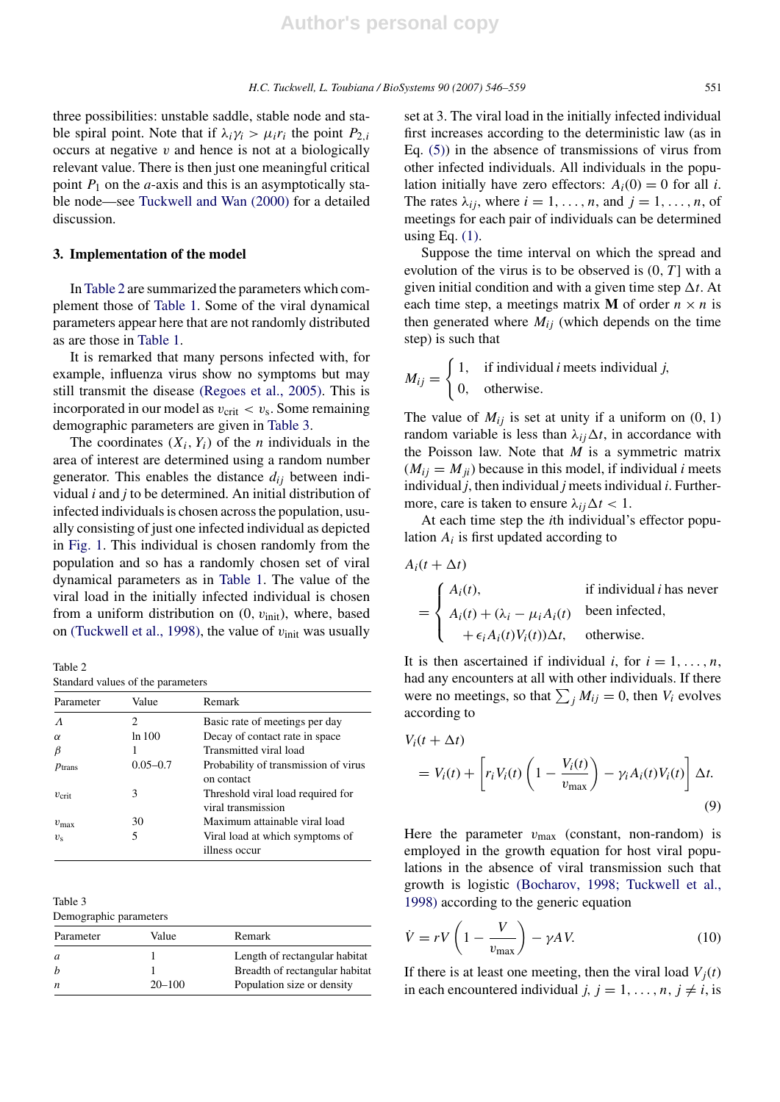three possibilities: unstable saddle, stable node and stable spiral point. Note that if  $\lambda_i \gamma_i > \mu_i r_i$  the point  $P_{2,i}$ occurs at negative  $v$  and hence is not at a biologically relevant value. There is then just one meaningful critical point  $P_1$  on the *a*-axis and this is an asymptotically stable node—see Tuckwell and Wan (2000) for a detailed discussion.

# **3. Implementation of the model**

In Table 2 are summarized the parameters which complement those of Table 1. Some of the viral dynamical parameters appear here that are not randomly distributed as are those in Table 1.

It is remarked that many persons infected with, for example, influenza virus show no symptoms but may still transmit the disease (Regoes et al., 2005). This is incorporated in our model as  $v_{\text{crit}} < v_s$ . Some remaining demographic parameters are given in Table 3.

The coordinates  $(X_i, Y_i)$  of the *n* individuals in the area of interest are determined using a random number generator. This enables the distance  $d_{ij}$  between individual *i* and *j* to be determined. An initial distribution of infected individuals is chosen across the population, usually consisting of just one infected individual as depicted in Fig. 1. This individual is chosen randomly from the population and so has a randomly chosen set of viral dynamical parameters as in Table 1. The value of the viral load in the initially infected individual is chosen from a uniform distribution on  $(0, v_{init})$ , where, based on (Tuckwell et al., 1998), the value of  $v_{\text{init}}$  was usually

Table 2

Standard values of the parameters

| Parameter      | Value        | Remark                                                  |
|----------------|--------------|---------------------------------------------------------|
| $\Lambda$      | 2            | Basic rate of meetings per day                          |
| $\alpha$       | ln 100       | Decay of contact rate in space                          |
| β              |              | Transmitted viral load                                  |
| $p_{trans}$    | $0.05 - 0.7$ | Probability of transmission of virus                    |
|                |              | on contact                                              |
| $v_{\rm crit}$ | 3            | Threshold viral load required for<br>viral transmission |
| $v_{\rm max}$  | 30           | Maximum attainable viral load                           |
|                | 5            | Viral load at which symptoms of                         |
| $v_{\rm s}$    |              | illness occur                                           |

| anie |  |
|------|--|
|------|--|

| Demographic parameters |  |
|------------------------|--|
|------------------------|--|

| Parameter | Value      | Remark                         |
|-----------|------------|--------------------------------|
|           |            | Length of rectangular habitat  |
|           |            | Breadth of rectangular habitat |
|           | $20 - 100$ | Population size or density     |

set at 3. The viral load in the initially infected individual first increases according to the deterministic law (as in Eq. (5)) in the absence of transmissions of virus from other infected individuals. All individuals in the population initially have zero effectors:  $A_i(0) = 0$  for all *i*. The rates  $\lambda_{ij}$ , where  $i = 1, \ldots, n$ , and  $j = 1, \ldots, n$ , of meetings for each pair of individuals can be determined using Eq.  $(1)$ .

Suppose the time interval on which the spread and evolution of the virus is to be observed is  $(0, T]$  with a given initial condition and with a given time step  $\Delta t$ . At each time step, a meetings matrix **M** of order  $n \times n$  is then generated where  $M_{ij}$  (which depends on the time step) is such that

$$
M_{ij} = \begin{cases} 1, & \text{if individual } i \text{ meets individual } j, \\ 0, & \text{otherwise.} \end{cases}
$$

The value of  $M_{ij}$  is set at unity if a uniform on  $(0, 1)$ random variable is less than  $\lambda_{ij} \Delta t$ , in accordance with the Poisson law. Note that  $M$  is a symmetric matrix  $(M_{ij} = M_{ji})$  because in this model, if individual *i* meets individual *j*, then individual *j* meets individual *i*. Furthermore, care is taken to ensure  $\lambda_{ij} \Delta t < 1$ .

At each time step the *i*th individual's effector population  $A_i$  is first updated according to

$$
A_i(t + \Delta t)
$$
  
= 
$$
\begin{cases} A_i(t), & \text{if individual } i \text{ has never} \\ A_i(t) + (\lambda_i - \mu_i A_i(t)) & \text{been infected,} \\ + \epsilon_i A_i(t) V_i(t) \Delta t, & \text{otherwise.} \end{cases}
$$

It is then ascertained if individual *i*, for  $i = 1, \ldots, n$ , had any encounters at all with other individuals. If there were no meetings, so that  $\sum_j M_{ij} = 0$ , then  $V_i$  evolves according to

$$
V_i(t + \Delta t)
$$
  
=  $V_i(t) + \left[ r_i V_i(t) \left( 1 - \frac{V_i(t)}{v_{\text{max}}} \right) - \gamma_i A_i(t) V_i(t) \right] \Delta t.$  (9)

Here the parameter  $v_{\text{max}}$  (constant, non-random) is employed in the growth equation for host viral populations in the absence of viral transmission such that growth is logistic (Bocharov, 1998; Tuckwell et al., 1998) according to the generic equation

$$
\dot{V} = rV \left( 1 - \frac{V}{v_{\text{max}}} \right) - \gamma AV. \tag{10}
$$

If there is at least one meeting, then the viral load  $V_i(t)$ in each encountered individual j,  $j = 1, \ldots, n, j \neq i$ , is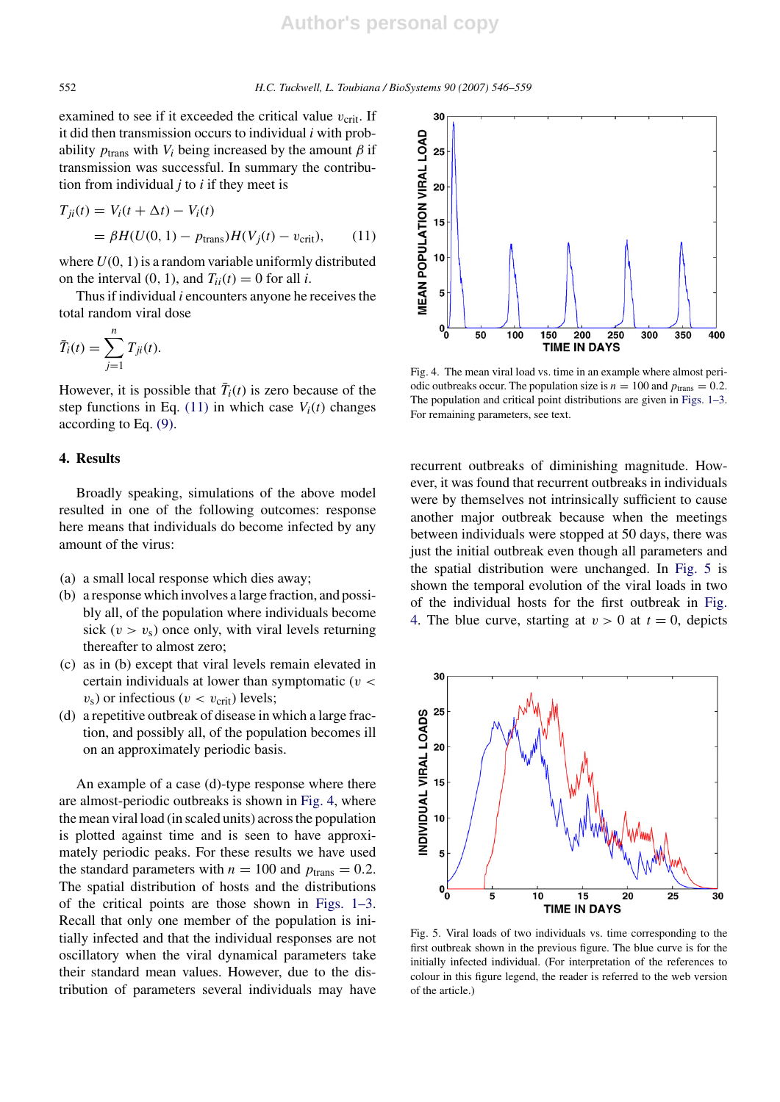examined to see if it exceeded the critical value  $v_{\text{crit}}$ . If it did then transmission occurs to individual *i* with probability  $p_{trans}$  with  $V_i$  being increased by the amount  $\beta$  if transmission was successful. In summary the contribution from individual *j* to *i* if they meet is

$$
T_{ji}(t) = V_i(t + \Delta t) - V_i(t)
$$
  
=  $\beta H(U(0, 1) - p_{trans})H(V_j(t) - v_{crit}),$  (11)

where  $U(0, 1)$  is a random variable uniformly distributed on the interval  $(0, 1)$ , and  $T_{ii}(t) = 0$  for all *i*.

Thus if individual *i* encounters anyone he receives the total random viral dose

$$
\bar{T}_i(t) = \sum_{j=1}^n T_{ji}(t).
$$

However, it is possible that  $\overline{T}_i(t)$  is zero because of the step functions in Eq. (11) in which case  $V_i(t)$  changes according to Eq. (9).

# **4. Results**

Broadly speaking, simulations of the above model resulted in one of the following outcomes: response here means that individuals do become infected by any amount of the virus:

- (a) a small local response which dies away;
- (b) a response which involves a large fraction, and possibly all, of the population where individuals become sick ( $v > v<sub>s</sub>$ ) once only, with viral levels returning thereafter to almost zero;
- (c) as in (b) except that viral levels remain elevated in certain individuals at lower than symptomatic ( $v <$  $v<sub>s</sub>$ ) or infectious ( $v < v<sub>crit</sub>$ ) levels;
- (d) a repetitive outbreak of disease in which a large fraction, and possibly all, of the population becomes ill on an approximately periodic basis.

An example of a case (d)-type response where there are almost-periodic outbreaks is shown in Fig. 4, where the mean viral load (in scaled units) across the population is plotted against time and is seen to have approximately periodic peaks. For these results we have used the standard parameters with  $n = 100$  and  $p_{trans} = 0.2$ . The spatial distribution of hosts and the distributions of the critical points are those shown in Figs. 1–3. Recall that only one member of the population is initially infected and that the individual responses are not oscillatory when the viral dynamical parameters take their standard mean values. However, due to the distribution of parameters several individuals may have



Fig. 4. The mean viral load vs. time in an example where almost periodic outbreaks occur. The population size is  $n = 100$  and  $p_{trans} = 0.2$ . The population and critical point distributions are given in Figs. 1–3. For remaining parameters, see text.

recurrent outbreaks of diminishing magnitude. However, it was found that recurrent outbreaks in individuals were by themselves not intrinsically sufficient to cause another major outbreak because when the meetings between individuals were stopped at 50 days, there was just the initial outbreak even though all parameters and the spatial distribution were unchanged. In Fig. 5 is shown the temporal evolution of the viral loads in two of the individual hosts for the first outbreak in Fig. 4. The blue curve, starting at  $v > 0$  at  $t = 0$ , depicts



Fig. 5. Viral loads of two individuals vs. time corresponding to the first outbreak shown in the previous figure. The blue curve is for the initially infected individual. (For interpretation of the references to colour in this figure legend, the reader is referred to the web version of the article.)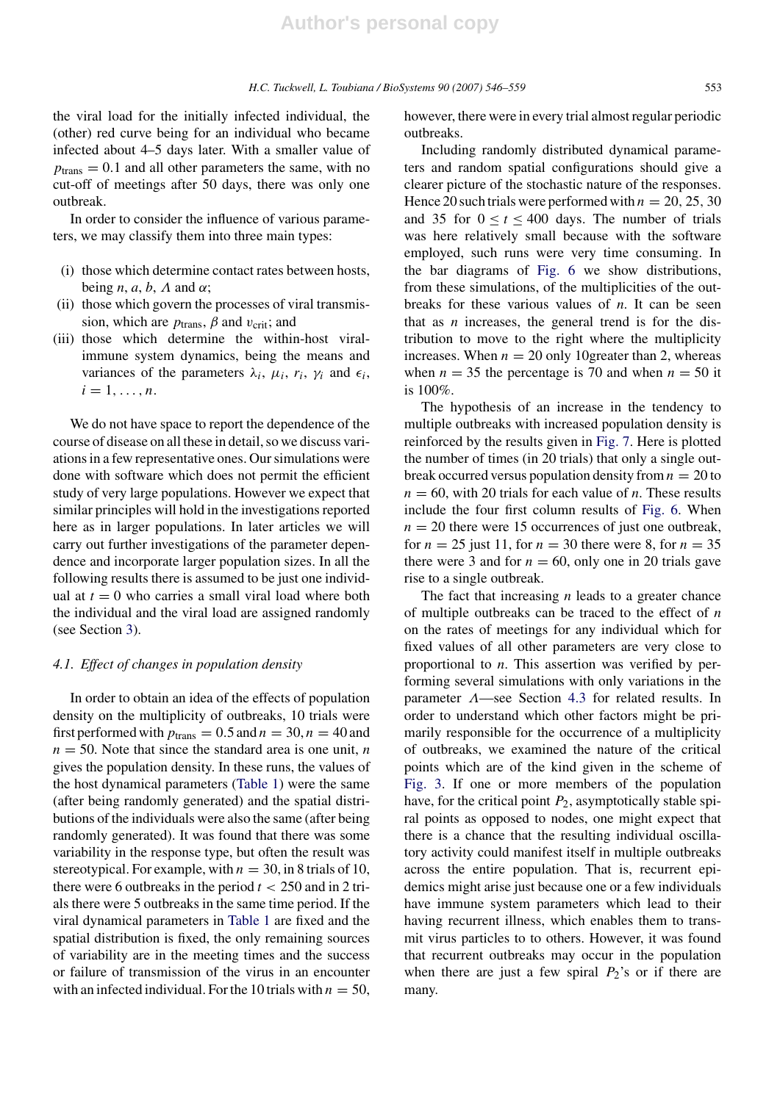the viral load for the initially infected individual, the (other) red curve being for an individual who became infected about 4–5 days later. With a smaller value of  $p_{trans} = 0.1$  and all other parameters the same, with no cut-off of meetings after 50 days, there was only one outbreak.

In order to consider the influence of various parameters, we may classify them into three main types:

- (i) those which determine contact rates between hosts, being *n*, *a*, *b*,  $\Lambda$  and  $\alpha$ ;
- (ii) those which govern the processes of viral transmission, which are  $p_{trans}$ ,  $\beta$  and  $v_{crit}$ ; and
- (iii) those which determine the within-host viralimmune system dynamics, being the means and variances of the parameters  $\lambda_i$ ,  $\mu_i$ ,  $r_i$ ,  $\gamma_i$  and  $\epsilon_i$ ,  $i=1,\ldots,n$ .

We do not have space to report the dependence of the course of disease on all these in detail, so we discuss variations in a few representative ones. Our simulations were done with software which does not permit the efficient study of very large populations. However we expect that similar principles will hold in the investigations reported here as in larger populations. In later articles we will carry out further investigations of the parameter dependence and incorporate larger population sizes. In all the following results there is assumed to be just one individual at  $t = 0$  who carries a small viral load where both the individual and the viral load are assigned randomly (see Section 3).

### *4.1. Effect of changes in population density*

In order to obtain an idea of the effects of population density on the multiplicity of outbreaks, 10 trials were first performed with  $p_{trans} = 0.5$  and  $n = 30, n = 40$  and  $n = 50$ . Note that since the standard area is one unit, *n* gives the population density. In these runs, the values of the host dynamical parameters (Table 1) were the same (after being randomly generated) and the spatial distributions of the individuals were also the same (after being randomly generated). It was found that there was some variability in the response type, but often the result was stereotypical. For example, with  $n = 30$ , in 8 trials of 10, there were 6 outbreaks in the period  $t < 250$  and in 2 trials there were 5 outbreaks in the same time period. If the viral dynamical parameters in Table 1 are fixed and the spatial distribution is fixed, the only remaining sources of variability are in the meeting times and the success or failure of transmission of the virus in an encounter with an infected individual. For the 10 trials with  $n = 50$ , however, there were in every trial almost regular periodic outbreaks.

Including randomly distributed dynamical parameters and random spatial configurations should give a clearer picture of the stochastic nature of the responses. Hence 20 such trials were performed with  $n = 20, 25, 30$ and 35 for  $0 \le t \le 400$  days. The number of trials was here relatively small because with the software employed, such runs were very time consuming. In the bar diagrams of Fig. 6 we show distributions, from these simulations, of the multiplicities of the outbreaks for these various values of *n*. It can be seen that as *n* increases, the general trend is for the distribution to move to the right where the multiplicity increases. When  $n = 20$  only 10greater than 2, whereas when  $n = 35$  the percentage is 70 and when  $n = 50$  it is 100%.

The hypothesis of an increase in the tendency to multiple outbreaks with increased population density is reinforced by the results given in Fig. 7. Here is plotted the number of times (in 20 trials) that only a single outbreak occurred versus population density from  $n = 20$  to  $n = 60$ , with 20 trials for each value of *n*. These results include the four first column results of Fig. 6. When  $n = 20$  there were 15 occurrences of just one outbreak, for  $n = 25$  just 11, for  $n = 30$  there were 8, for  $n = 35$ there were 3 and for  $n = 60$ , only one in 20 trials gave rise to a single outbreak.

The fact that increasing *n* leads to a greater chance of multiple outbreaks can be traced to the effect of *n* on the rates of meetings for any individual which for fixed values of all other parameters are very close to proportional to *n*. This assertion was verified by performing several simulations with only variations in the parameter Λ—see Section 4.3 for related results. In order to understand which other factors might be primarily responsible for the occurrence of a multiplicity of outbreaks, we examined the nature of the critical points which are of the kind given in the scheme of Fig. 3. If one or more members of the population have, for the critical point  $P_2$ , asymptotically stable spiral points as opposed to nodes, one might expect that there is a chance that the resulting individual oscillatory activity could manifest itself in multiple outbreaks across the entire population. That is, recurrent epidemics might arise just because one or a few individuals have immune system parameters which lead to their having recurrent illness, which enables them to transmit virus particles to to others. However, it was found that recurrent outbreaks may occur in the population when there are just a few spiral  $P_2$ 's or if there are many.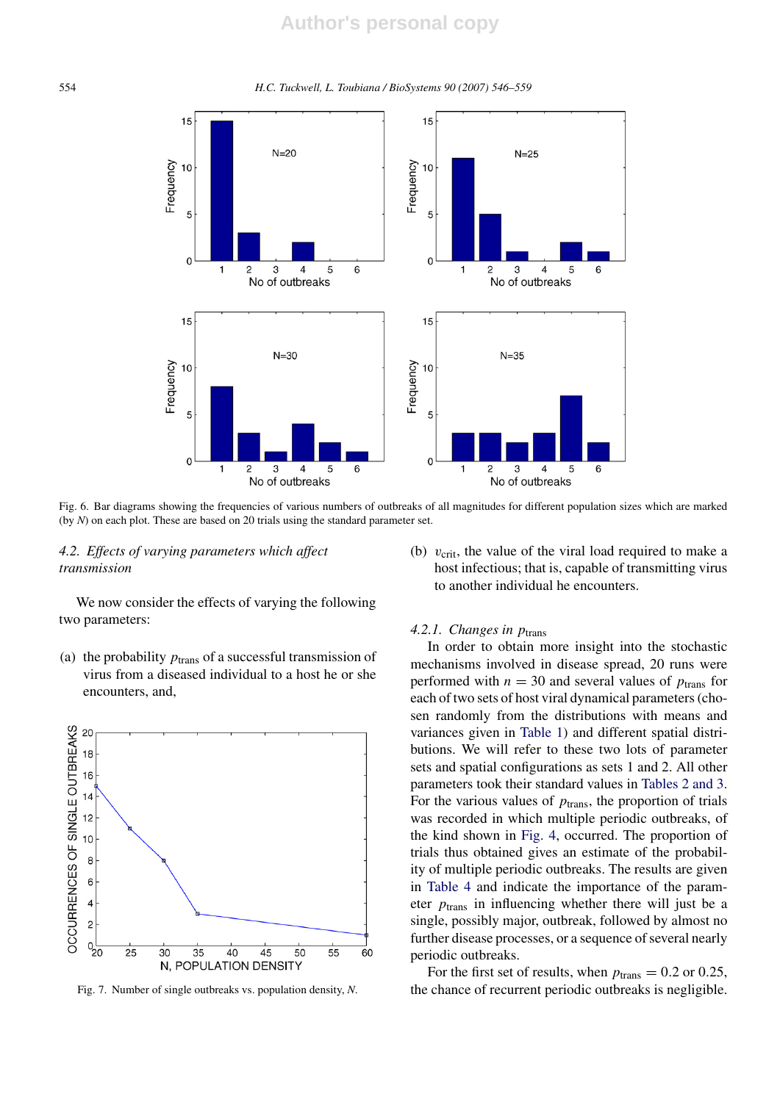

Fig. 6. Bar diagrams showing the frequencies of various numbers of outbreaks of all magnitudes for different population sizes which are marked (by *N*) on each plot. These are based on 20 trials using the standard parameter set.

# *4.2. Effects of varying parameters which affect transmission*

We now consider the effects of varying the following two parameters:

(a) the probability  $p_{trans}$  of a successful transmission of virus from a diseased individual to a host he or she encounters, and,



Fig. 7. Number of single outbreaks vs. population density, *N*.

(b)  $v_{\text{crit}}$ , the value of the viral load required to make a host infectious; that is, capable of transmitting virus to another individual he encounters.

#### 4.2.1. Changes in  $p_{trans}$

In order to obtain more insight into the stochastic mechanisms involved in disease spread, 20 runs were performed with  $n = 30$  and several values of  $p_{trans}$  for each of two sets of host viral dynamical parameters (chosen randomly from the distributions with means and variances given in Table 1) and different spatial distributions. We will refer to these two lots of parameter sets and spatial configurations as sets 1 and 2. All other parameters took their standard values in Tables 2 and 3. For the various values of  $p_{trans}$ , the proportion of trials was recorded in which multiple periodic outbreaks, of the kind shown in Fig. 4, occurred. The proportion of trials thus obtained gives an estimate of the probability of multiple periodic outbreaks. The results are given in Table 4 and indicate the importance of the parameter  $p_{trans}$  in influencing whether there will just be a single, possibly major, outbreak, followed by almost no further disease processes, or a sequence of several nearly periodic outbreaks.

For the first set of results, when  $p_{trans} = 0.2$  or 0.25, the chance of recurrent periodic outbreaks is negligible.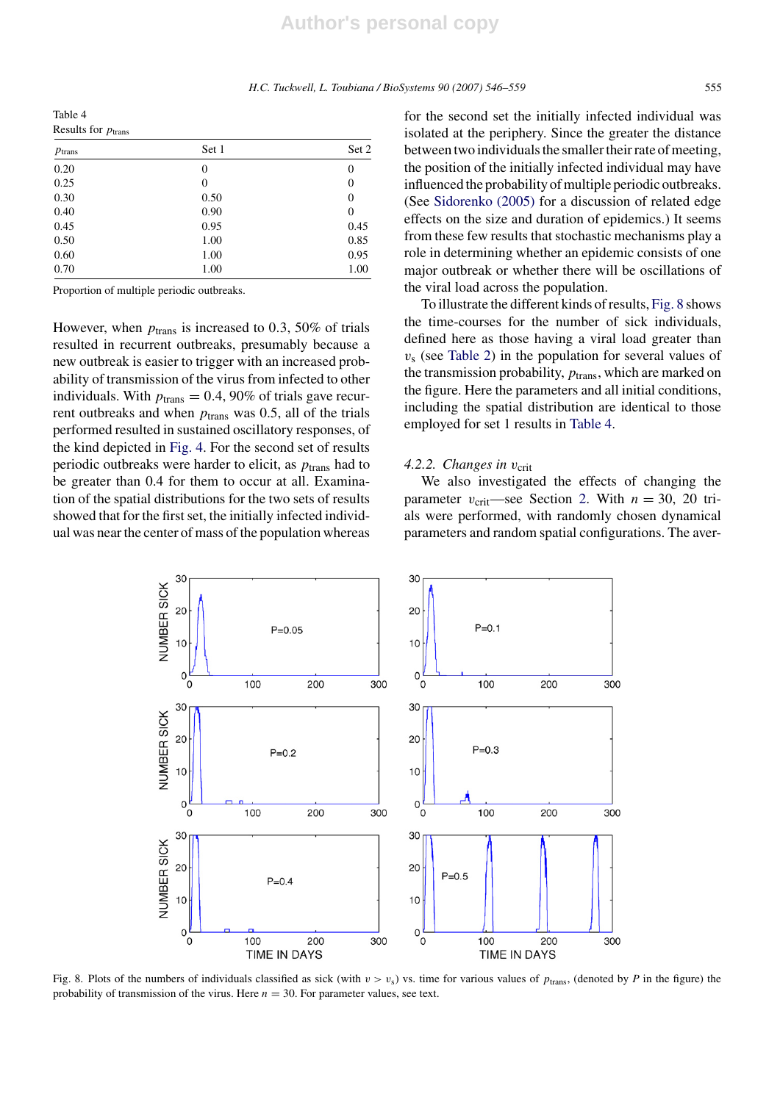Table 4

| Results for $p_{trans}$ |                |                  |
|-------------------------|----------------|------------------|
| $p_{trans}$             | Set 1          | Set 2            |
| 0.20                    | $\theta$       | 0                |
| 0.25                    | $\overline{0}$ | $\boldsymbol{0}$ |
| 0.30                    | 0.50           | $\boldsymbol{0}$ |
| 0.40                    | 0.90           | $\overline{0}$   |
| 0.45                    | 0.95           | 0.45             |
| 0.50                    | 1.00           | 0.85             |
| 0.60                    | 1.00           | 0.95             |
| 0.70                    | 1.00           | 1.00             |

Proportion of multiple periodic outbreaks.

However, when  $p_{trans}$  is increased to 0.3, 50% of trials resulted in recurrent outbreaks, presumably because a new outbreak is easier to trigger with an increased probability of transmission of the virus from infected to other individuals. With  $p_{trans} = 0.4$ , 90% of trials gave recurrent outbreaks and when  $p_{trans}$  was 0.5, all of the trials performed resulted in sustained oscillatory responses, of the kind depicted in Fig. 4. For the second set of results periodic outbreaks were harder to elicit, as  $p_{trans}$  had to be greater than 0.4 for them to occur at all. Examination of the spatial distributions for the two sets of results showed that for the first set, the initially infected individual was near the center of mass of the population whereas for the second set the initially infected individual was isolated at the periphery. Since the greater the distance between two individuals the smaller their rate of meeting, the position of the initially infected individual may have influenced the probability of multiple periodic outbreaks. (See Sidorenko (2005) for a discussion of related edge effects on the size and duration of epidemics.) It seems from these few results that stochastic mechanisms play a role in determining whether an epidemic consists of one major outbreak or whether there will be oscillations of the viral load across the population.

To illustrate the different kinds of results, Fig. 8 shows the time-courses for the number of sick individuals, defined here as those having a viral load greater than  $v<sub>s</sub>$  (see Table 2) in the population for several values of the transmission probability,  $p_{trans}$ , which are marked on the figure. Here the parameters and all initial conditions, including the spatial distribution are identical to those employed for set 1 results in Table 4.

#### 4.2.2. Changes in  $v_{\text{crit}}$

We also investigated the effects of changing the parameter  $v_{\text{crit}}$ —see Section 2. With  $n = 30$ , 20 trials were performed, with randomly chosen dynamical parameters and random spatial configurations. The aver-



Fig. 8. Plots of the numbers of individuals classified as sick (with  $v > v<sub>s</sub>$ ) vs. time for various values of  $p<sub>trans</sub>$ , (denoted by *P* in the figure) the probability of transmission of the virus. Here  $n = 30$ . For parameter values, see text.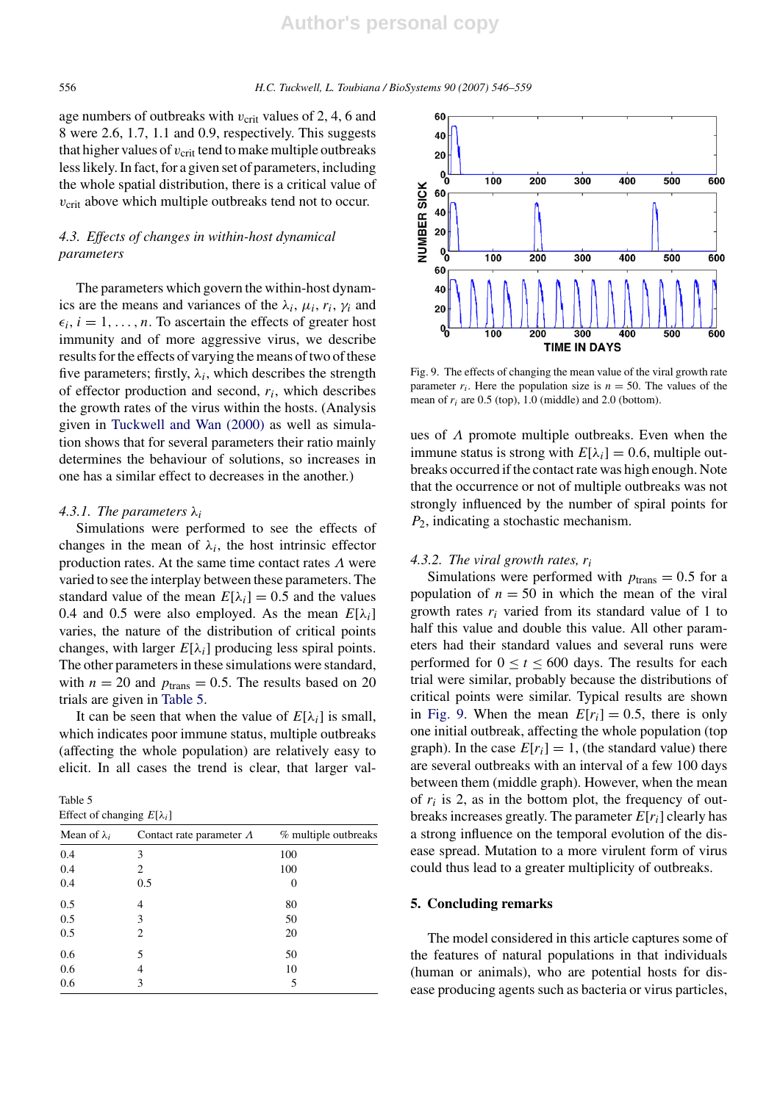age numbers of outbreaks with  $v_{\text{crit}}$  values of 2, 4, 6 and 8 were 2.6, 1.7, 1.1 and 0.9, respectively. This suggests that higher values of  $v_{\text{crit}}$  tend to make multiple outbreaks less likely. In fact, for a given set of parameters, including the whole spatial distribution, there is a critical value of  $v_{\text{crit}}$  above which multiple outbreaks tend not to occur.

# *4.3. Effects of changes in within-host dynamical parameters*

The parameters which govern the within-host dynamics are the means and variances of the  $\lambda_i$ ,  $\mu_i$ ,  $r_i$ ,  $\gamma_i$  and  $\epsilon_i$ ,  $i = 1, \ldots, n$ . To ascertain the effects of greater host immunity and of more aggressive virus, we describe results for the effects of varying the means of two of these five parameters; firstly,  $\lambda_i$ , which describes the strength of effector production and second,  $r_i$ , which describes the growth rates of the virus within the hosts. (Analysis given in Tuckwell and Wan (2000) as well as simulation shows that for several parameters their ratio mainly determines the behaviour of solutions, so increases in one has a similar effect to decreases in the another.)

# 4.3.1. The parameters  $\lambda_i$

Simulations were performed to see the effects of changes in the mean of  $\lambda_i$ , the host intrinsic effector production rates. At the same time contact rates  $\Lambda$  were varied to see the interplay between these parameters. The standard value of the mean  $E[\lambda_i] = 0.5$  and the values 0.4 and 0.5 were also employed. As the mean  $E[\lambda_i]$ varies, the nature of the distribution of critical points changes, with larger  $E[\lambda_i]$  producing less spiral points. The other parameters in these simulations were standard, with  $n = 20$  and  $p<sub>trans</sub> = 0.5$ . The results based on 20 trials are given in Table 5.

It can be seen that when the value of  $E[\lambda_i]$  is small, which indicates poor immune status, multiple outbreaks (affecting the whole population) are relatively easy to elicit. In all cases the trend is clear, that larger val-

Table 5 Effect of changing  $F[\lambda]$ 

| Mean of $\lambda_i$ | Contact rate parameter $\Lambda$ | % multiple outbreaks |
|---------------------|----------------------------------|----------------------|
| 0.4                 | 3                                | 100                  |
| 0.4                 | 2                                | 100                  |
| 0.4                 | 0.5                              | 0                    |
| 0.5                 | 4                                | 80                   |
| 0.5                 | 3                                | 50                   |
| 0.5                 | 2                                | 20                   |
| 0.6                 | 5                                | 50                   |
| 0.6                 | 4                                | 10                   |
| 0.6                 | 3                                | 5                    |



Fig. 9. The effects of changing the mean value of the viral growth rate parameter  $r_i$ . Here the population size is  $n = 50$ . The values of the mean of  $r_i$  are 0.5 (top), 1.0 (middle) and 2.0 (bottom).

ues of  $\Lambda$  promote multiple outbreaks. Even when the immune status is strong with  $E[\lambda_i] = 0.6$ , multiple outbreaks occurred if the contact rate was high enough. Note that the occurrence or not of multiple outbreaks was not strongly influenced by the number of spiral points for  $P_2$ , indicating a stochastic mechanism.

#### *4.3.2. The viral growth rates,* ri

Simulations were performed with  $p_{trans} = 0.5$  for a population of  $n = 50$  in which the mean of the viral growth rates  $r_i$  varied from its standard value of 1 to half this value and double this value. All other parameters had their standard values and several runs were performed for  $0 \le t \le 600$  days. The results for each trial were similar, probably because the distributions of critical points were similar. Typical results are shown in Fig. 9. When the mean  $E[r_i] = 0.5$ , there is only one initial outbreak, affecting the whole population (top graph). In the case  $E[r_i] = 1$ , (the standard value) there are several outbreaks with an interval of a few 100 days between them (middle graph). However, when the mean of  $r_i$  is 2, as in the bottom plot, the frequency of outbreaks increases greatly. The parameter  $E[r_i]$  clearly has a strong influence on the temporal evolution of the disease spread. Mutation to a more virulent form of virus could thus lead to a greater multiplicity of outbreaks.

# **5. Concluding remarks**

The model considered in this article captures some of the features of natural populations in that individuals (human or animals), who are potential hosts for disease producing agents such as bacteria or virus particles,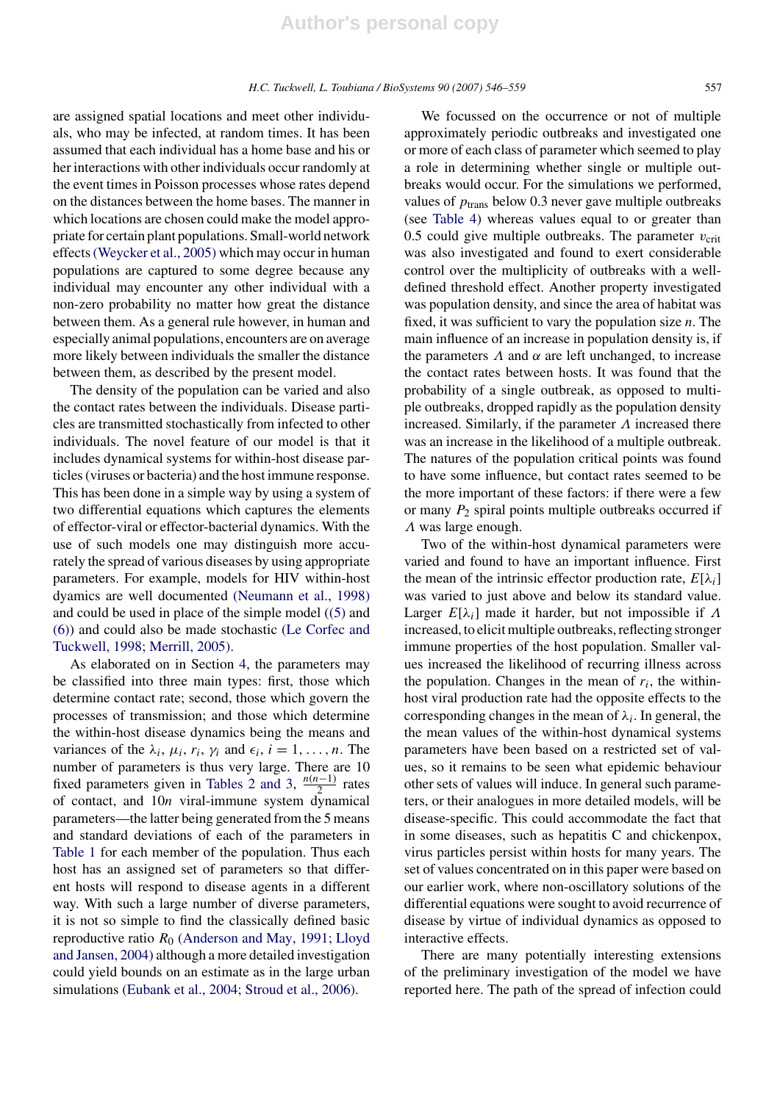are assigned spatial locations and meet other individuals, who may be infected, at random times. It has been assumed that each individual has a home base and his or her interactions with other individuals occur randomly at the event times in Poisson processes whose rates depend on the distances between the home bases. The manner in which locations are chosen could make the model appropriate for certain plant populations. Small-world network effects(Weycker et al., 2005) which may occur in human populations are captured to some degree because any individual may encounter any other individual with a non-zero probability no matter how great the distance between them. As a general rule however, in human and especially animal populations, encounters are on average more likely between individuals the smaller the distance between them, as described by the present model.

The density of the population can be varied and also the contact rates between the individuals. Disease particles are transmitted stochastically from infected to other individuals. The novel feature of our model is that it includes dynamical systems for within-host disease particles (viruses or bacteria) and the host immune response. This has been done in a simple way by using a system of two differential equations which captures the elements of effector-viral or effector-bacterial dynamics. With the use of such models one may distinguish more accurately the spread of various diseases by using appropriate parameters. For example, models for HIV within-host dyamics are well documented (Neumann et al., 1998) and could be used in place of the simple model ((5) and (6)) and could also be made stochastic (Le Corfec and Tuckwell, 1998; Merrill, 2005).

As elaborated on in Section 4, the parameters may be classified into three main types: first, those which determine contact rate; second, those which govern the processes of transmission; and those which determine the within-host disease dynamics being the means and variances of the  $\lambda_i$ ,  $\mu_i$ ,  $r_i$ ,  $\gamma_i$  and  $\epsilon_i$ ,  $i = 1, \ldots, n$ . The number of parameters is thus very large. There are 10 fixed parameters given in Tables 2 and 3,  $\frac{n(n-1)}{2}$  rates of contact, and 10n viral-immune system dynamical parameters—the latter being generated from the 5 means and standard deviations of each of the parameters in Table 1 for each member of the population. Thus each host has an assigned set of parameters so that different hosts will respond to disease agents in a different way. With such a large number of diverse parameters, it is not so simple to find the classically defined basic reproductive ratio  $R_0$  (Anderson and May, 1991; Lloyd and Jansen, 2004) although a more detailed investigation could yield bounds on an estimate as in the large urban simulations (Eubank et al., 2004; Stroud et al., 2006).

We focussed on the occurrence or not of multiple approximately periodic outbreaks and investigated one or more of each class of parameter which seemed to play a role in determining whether single or multiple outbreaks would occur. For the simulations we performed, values of  $p_{trans}$  below 0.3 never gave multiple outbreaks (see Table 4) whereas values equal to or greater than 0.5 could give multiple outbreaks. The parameter  $v_{\text{crit}}$ was also investigated and found to exert considerable control over the multiplicity of outbreaks with a welldefined threshold effect. Another property investigated was population density, and since the area of habitat was fixed, it was sufficient to vary the population size *n*. The main influence of an increase in population density is, if the parameters  $\Lambda$  and  $\alpha$  are left unchanged, to increase the contact rates between hosts. It was found that the probability of a single outbreak, as opposed to multiple outbreaks, dropped rapidly as the population density increased. Similarly, if the parameter  $\Lambda$  increased there was an increase in the likelihood of a multiple outbreak. The natures of the population critical points was found to have some influence, but contact rates seemed to be the more important of these factors: if there were a few or many  $P_2$  spiral points multiple outbreaks occurred if Λ was large enough.

Two of the within-host dynamical parameters were varied and found to have an important influence. First the mean of the intrinsic effector production rate,  $E[\lambda_i]$ was varied to just above and below its standard value. Larger  $E[\lambda_i]$  made it harder, but not impossible if  $\Lambda$ increased, to elicit multiple outbreaks, reflecting stronger immune properties of the host population. Smaller values increased the likelihood of recurring illness across the population. Changes in the mean of  $r_i$ , the withinhost viral production rate had the opposite effects to the corresponding changes in the mean of  $\lambda_i$ . In general, the the mean values of the within-host dynamical systems parameters have been based on a restricted set of values, so it remains to be seen what epidemic behaviour other sets of values will induce. In general such parameters, or their analogues in more detailed models, will be disease-specific. This could accommodate the fact that in some diseases, such as hepatitis C and chickenpox, virus particles persist within hosts for many years. The set of values concentrated on in this paper were based on our earlier work, where non-oscillatory solutions of the differential equations were sought to avoid recurrence of disease by virtue of individual dynamics as opposed to interactive effects.

There are many potentially interesting extensions of the preliminary investigation of the model we have reported here. The path of the spread of infection could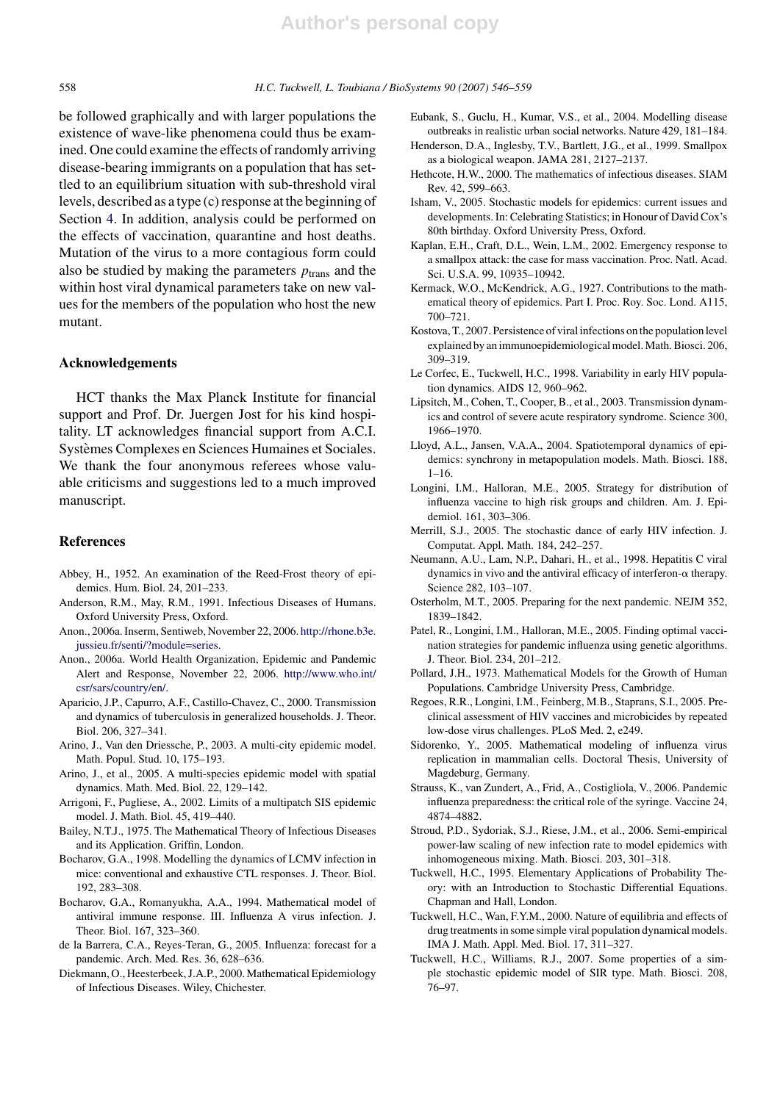be followed graphically and with larger populations the existence of wave-like phenomena could thus be examined. One could examine the effects of randomly arriving disease-bearing immigrants on a population that has settled to an equilibrium situation with sub-threshold viral levels, described as a type (c) response at the beginning of Section 4. In addition, analysis could be performed on the effects of vaccination, quarantine and host deaths. Mutation of the virus to a more contagious form could also be studied by making the parameters  $p_{trans}$  and the within host viral dynamical parameters take on new values for the members of the population who host the new mutant.

# **Acknowledgements**

HCT thanks the Max Planck Institute for financial support and Prof. Dr. Juergen Jost for his kind hospitality. LT acknowledges financial support from A.C.I. Systemes Complexes en Sciences Humaines et Sociales. ` We thank the four anonymous referees whose valuable criticisms and suggestions led to a much improved manuscript.

#### **References**

- Abbey, H., 1952. An examination of the Reed-Frost theory of epidemics. Hum. Biol. 24, 201–233.
- Anderson, R.M., May, R.M., 1991. Infectious Diseases of Humans. Oxford University Press, Oxford.
- Anon., 2006a. Inserm, Sentiweb, November 22, 2006. http://rhone.b3e. jussieu.fr/senti/?module=series.
- Anon., 2006a. World Health Organization, Epidemic and Pandemic Alert and Response, November 22, 2006. http://www.who.int/ csr/sars/country/en/.
- Aparicio, J.P., Capurro, A.F., Castillo-Chavez, C., 2000. Transmission and dynamics of tuberculosis in generalized households. J. Theor. Biol. 206, 327–341.
- Arino, J., Van den Driessche, P., 2003. A multi-city epidemic model. Math. Popul. Stud. 10, 175–193.
- Arino, J., et al., 2005. A multi-species epidemic model with spatial dynamics. Math. Med. Biol. 22, 129–142.
- Arrigoni, F., Pugliese, A., 2002. Limits of a multipatch SIS epidemic model. J. Math. Biol. 45, 419–440.
- Bailey, N.T.J., 1975. The Mathematical Theory of Infectious Diseases and its Application. Griffin, London.
- Bocharov, G.A., 1998. Modelling the dynamics of LCMV infection in mice: conventional and exhaustive CTL responses. J. Theor. Biol. 192, 283–308.
- Bocharov, G.A., Romanyukha, A.A., 1994. Mathematical model of antiviral immune response. III. Influenza A virus infection. J. Theor. Biol. 167, 323–360.
- de la Barrera, C.A., Reyes-Teran, G., 2005. Influenza: forecast for a pandemic. Arch. Med. Res. 36, 628–636.
- Diekmann, O., Heesterbeek, J.A.P., 2000. Mathematical Epidemiology of Infectious Diseases. Wiley, Chichester.
- Eubank, S., Guclu, H., Kumar, V.S., et al., 2004. Modelling disease outbreaks in realistic urban social networks. Nature 429, 181–184.
- Henderson, D.A., Inglesby, T.V., Bartlett, J.G., et al., 1999. Smallpox as a biological weapon. JAMA 281, 2127–2137.
- Hethcote, H.W., 2000. The mathematics of infectious diseases. SIAM Rev. 42, 599–663.
- Isham, V., 2005. Stochastic models for epidemics: current issues and developments. In: Celebrating Statistics; in Honour of David Cox's 80th birthday. Oxford University Press, Oxford.
- Kaplan, E.H., Craft, D.L., Wein, L.M., 2002. Emergency response to a smallpox attack: the case for mass vaccination. Proc. Natl. Acad. Sci. U.S.A. 99, 10935–10942.
- Kermack, W.O., McKendrick, A.G., 1927. Contributions to the mathematical theory of epidemics. Part I. Proc. Roy. Soc. Lond. A115, 700–721.
- Kostova, T., 2007. Persistence of viral infections on the population level explained by an immunoepidemiological model. Math. Biosci. 206, 309–319.
- Le Corfec, E., Tuckwell, H.C., 1998. Variability in early HIV population dynamics. AIDS 12, 960–962.
- Lipsitch, M., Cohen, T., Cooper, B., et al., 2003. Transmission dynamics and control of severe acute respiratory syndrome. Science 300, 1966–1970.
- Lloyd, A.L., Jansen, V.A.A., 2004. Spatiotemporal dynamics of epidemics: synchrony in metapopulation models. Math. Biosci. 188,  $1 - 16$ .
- Longini, I.M., Halloran, M.E., 2005. Strategy for distribution of influenza vaccine to high risk groups and children. Am. J. Epidemiol. 161, 303–306.
- Merrill, S.J., 2005. The stochastic dance of early HIV infection. J. Computat. Appl. Math. 184, 242–257.
- Neumann, A.U., Lam, N.P., Dahari, H., et al., 1998. Hepatitis C viral dynamics in vivo and the antiviral efficacy of interferon- $\alpha$  therapy. Science 282, 103–107.
- Osterholm, M.T., 2005. Preparing for the next pandemic. NEJM 352, 1839–1842.
- Patel, R., Longini, I.M., Halloran, M.E., 2005. Finding optimal vaccination strategies for pandemic influenza using genetic algorithms. J. Theor. Biol. 234, 201–212.
- Pollard, J.H., 1973. Mathematical Models for the Growth of Human Populations. Cambridge University Press, Cambridge.
- Regoes, R.R., Longini, I.M., Feinberg, M.B., Staprans, S.I., 2005. Preclinical assessment of HIV vaccines and microbicides by repeated low-dose virus challenges. PLoS Med. 2, e249.
- Sidorenko, Y., 2005. Mathematical modeling of influenza virus replication in mammalian cells. Doctoral Thesis, University of Magdeburg, Germany.
- Strauss, K., van Zundert, A., Frid, A., Costigliola, V., 2006. Pandemic influenza preparedness: the critical role of the syringe. Vaccine 24, 4874–4882.
- Stroud, P.D., Sydoriak, S.J., Riese, J.M., et al., 2006. Semi-empirical power-law scaling of new infection rate to model epidemics with inhomogeneous mixing. Math. Biosci. 203, 301–318.
- Tuckwell, H.C., 1995. Elementary Applications of Probability Theory: with an Introduction to Stochastic Differential Equations. Chapman and Hall, London.
- Tuckwell, H.C., Wan, F.Y.M., 2000. Nature of equilibria and effects of drug treatments in some simple viral population dynamical models. IMA J. Math. Appl. Med. Biol. 17, 311–327.
- Tuckwell, H.C., Williams, R.J., 2007. Some properties of a simple stochastic epidemic model of SIR type. Math. Biosci. 208, 76–97.